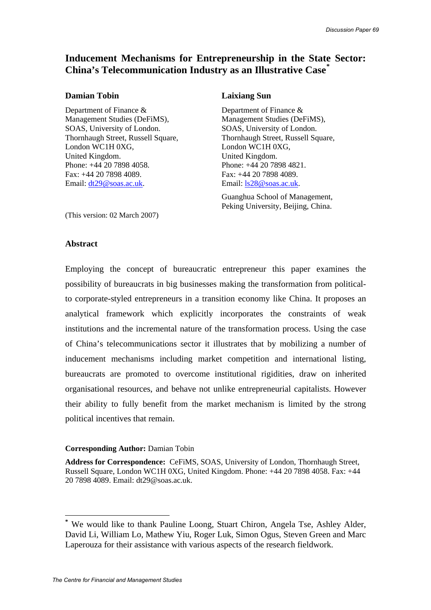# **Inducement Mechanisms for Entrepreneurship in the State Sector: China's Telecommunication Industry as an Illustrative Case[\\*](#page-0-0)**

#### **Damian Tobin Laixiang Sun**

Department of Finance & Department of Finance & Management Studies (DeFiMS), Management Studies (DeFiMS), SOAS, University of London. SOAS, University of London. London WC1H 0XG,<br>
London WC1H 0XG, United Kingdom. United Kingdom. Phone: +44 20 7898 4058. Phone: +44 20 7898 4821. Fax: +44 20 7898 4089. Fax: +44 20 7898 4089. Email: [dt29@soas.ac.uk.](mailto:dt29@soas.ac.uk) Email: [ls28@soas.ac.uk.](mailto:ls28@soas.ac.uk)

Thornhaugh Street, Russell Square, Thornhaugh Street, Russell Square,

Guanghua School of Management, Peking University, Beijing, China.

(This version: 02 March 2007)

#### **Abstract**

Employing the concept of bureaucratic entrepreneur this paper examines the possibility of bureaucrats in big businesses making the transformation from politicalto corporate-styled entrepreneurs in a transition economy like China. It proposes an analytical framework which explicitly incorporates the constraints of weak institutions and the incremental nature of the transformation process. Using the case of China's telecommunications sector it illustrates that by mobilizing a number of inducement mechanisms including market competition and international listing, bureaucrats are promoted to overcome institutional rigidities, draw on inherited organisational resources, and behave not unlike entrepreneurial capitalists. However their ability to fully benefit from the market mechanism is limited by the strong political incentives that remain.

### **Corresponding Author:** Damian Tobin

**Address for Correspondence:** CeFiMS, SOAS, University of London, Thornhaugh Street, Russell Square, London WC1H 0XG, United Kingdom. Phone: +44 20 7898 4058. Fax: +44 20 7898 4089. Email: dt29@soas.ac.uk.

 $\overline{a}$ 

<span id="page-0-0"></span>**<sup>\*</sup>** We would like to thank Pauline Loong, Stuart Chiron, Angela Tse, Ashley Alder, David Li, William Lo, Mathew Yiu, Roger Luk, Simon Ogus, Steven Green and Marc Laperouza for their assistance with various aspects of the research fieldwork.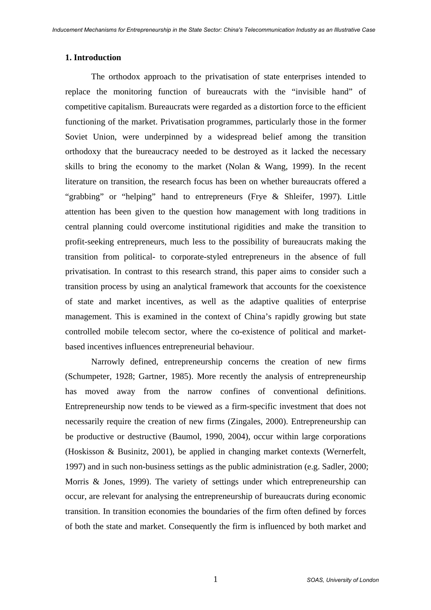#### **1. Introduction**

The orthodox approach to the privatisation of state enterprises intended to replace the monitoring function of bureaucrats with the "invisible hand" of competitive capitalism. Bureaucrats were regarded as a distortion force to the efficient functioning of the market. Privatisation programmes, particularly those in the former Soviet Union, were underpinned by a widespread belief among the transition orthodoxy that the bureaucracy needed to be destroyed as it lacked the necessary skills to bring the economy to the market (Nolan & Wang, 1999). In the recent literature on transition, the research focus has been on whether bureaucrats offered a "grabbing" or "helping" hand to entrepreneurs (Frye & Shleifer, 1997). Little attention has been given to the question how management with long traditions in central planning could overcome institutional rigidities and make the transition to profit-seeking entrepreneurs, much less to the possibility of bureaucrats making the transition from political- to corporate-styled entrepreneurs in the absence of full privatisation. In contrast to this research strand, this paper aims to consider such a transition process by using an analytical framework that accounts for the coexistence of state and market incentives, as well as the adaptive qualities of enterprise management. This is examined in the context of China's rapidly growing but state controlled mobile telecom sector, where the co-existence of political and marketbased incentives influences entrepreneurial behaviour.

Narrowly defined, entrepreneurship concerns the creation of new firms (Schumpeter, 1928; Gartner, 1985). More recently the analysis of entrepreneurship has moved away from the narrow confines of conventional definitions. Entrepreneurship now tends to be viewed as a firm-specific investment that does not necessarily require the creation of new firms (Zingales, 2000). Entrepreneurship can be productive or destructive (Baumol, 1990, 2004), occur within large corporations (Hoskisson & Businitz, 2001), be applied in changing market contexts (Wernerfelt, 1997) and in such non-business settings as the public administration (e.g. Sadler, 2000; Morris & Jones, 1999). The variety of settings under which entrepreneurship can occur, are relevant for analysing the entrepreneurship of bureaucrats during economic transition. In transition economies the boundaries of the firm often defined by forces of both the state and market. Consequently the firm is influenced by both market and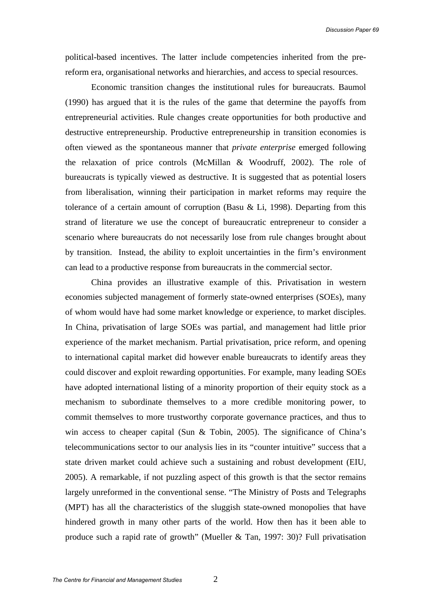political-based incentives. The latter include competencies inherited from the prereform era, organisational networks and hierarchies, and access to special resources.

Economic transition changes the institutional rules for bureaucrats. Baumol (1990) has argued that it is the rules of the game that determine the payoffs from entrepreneurial activities. Rule changes create opportunities for both productive and destructive entrepreneurship. Productive entrepreneurship in transition economies is often viewed as the spontaneous manner that *private enterprise* emerged following the relaxation of price controls (McMillan & Woodruff, 2002). The role of bureaucrats is typically viewed as destructive. It is suggested that as potential losers from liberalisation, winning their participation in market reforms may require the tolerance of a certain amount of corruption (Basu & Li, 1998). Departing from this strand of literature we use the concept of bureaucratic entrepreneur to consider a scenario where bureaucrats do not necessarily lose from rule changes brought about by transition. Instead, the ability to exploit uncertainties in the firm's environment can lead to a productive response from bureaucrats in the commercial sector.

China provides an illustrative example of this. Privatisation in western economies subjected management of formerly state-owned enterprises (SOEs), many of whom would have had some market knowledge or experience, to market disciples. In China, privatisation of large SOEs was partial, and management had little prior experience of the market mechanism. Partial privatisation, price reform, and opening to international capital market did however enable bureaucrats to identify areas they could discover and exploit rewarding opportunities. For example, many leading SOEs have adopted international listing of a minority proportion of their equity stock as a mechanism to subordinate themselves to a more credible monitoring power, to commit themselves to more trustworthy corporate governance practices, and thus to win access to cheaper capital (Sun & Tobin, 2005). The significance of China's telecommunications sector to our analysis lies in its "counter intuitive" success that a state driven market could achieve such a sustaining and robust development (EIU, 2005). A remarkable, if not puzzling aspect of this growth is that the sector remains largely unreformed in the conventional sense. "The Ministry of Posts and Telegraphs (MPT) has all the characteristics of the sluggish state-owned monopolies that have hindered growth in many other parts of the world. How then has it been able to produce such a rapid rate of growth" (Mueller & Tan, 1997: 30)? Full privatisation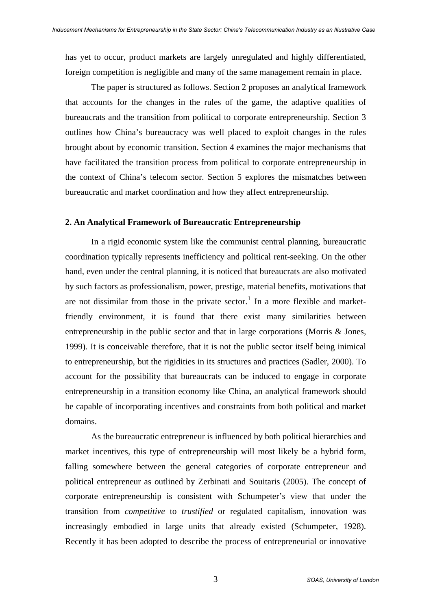has yet to occur, product markets are largely unregulated and highly differentiated, foreign competition is negligible and many of the same management remain in place.

The paper is structured as follows. Section 2 proposes an analytical framework that accounts for the changes in the rules of the game, the adaptive qualities of bureaucrats and the transition from political to corporate entrepreneurship. Section 3 outlines how China's bureaucracy was well placed to exploit changes in the rules brought about by economic transition. Section 4 examines the major mechanisms that have facilitated the transition process from political to corporate entrepreneurship in the context of China's telecom sector. Section 5 explores the mismatches between bureaucratic and market coordination and how they affect entrepreneurship.

#### **2. An Analytical Framework of Bureaucratic Entrepreneurship**

In a rigid economic system like the communist central planning, bureaucratic coordination typically represents inefficiency and political rent-seeking. On the other hand, even under the central planning, it is noticed that bureaucrats are also motivated by such factors as professionalism, power, prestige, material benefits, motivations that are not dissimilar from those in the private sector.<sup>[1](#page-21-0)</sup> In a more flexible and marketfriendly environment, it is found that there exist many similarities between entrepreneurship in the public sector and that in large corporations (Morris & Jones, 1999). It is conceivable therefore, that it is not the public sector itself being inimical to entrepreneurship, but the rigidities in its structures and practices (Sadler, 2000). To account for the possibility that bureaucrats can be induced to engage in corporate entrepreneurship in a transition economy like China, an analytical framework should be capable of incorporating incentives and constraints from both political and market domains.

As the bureaucratic entrepreneur is influenced by both political hierarchies and market incentives, this type of entrepreneurship will most likely be a hybrid form, falling somewhere between the general categories of corporate entrepreneur and political entrepreneur as outlined by Zerbinati and Souitaris (2005). The concept of corporate entrepreneurship is consistent with Schumpeter's view that under the transition from *competitive* to *trustified* or regulated capitalism, innovation was increasingly embodied in large units that already existed (Schumpeter, 1928). Recently it has been adopted to describe the process of entrepreneurial or innovative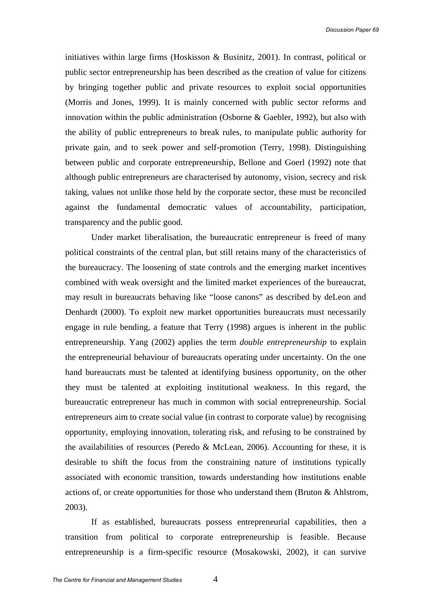initiatives within large firms (Hoskisson & Businitz, 2001). In contrast, political or public sector entrepreneurship has been described as the creation of value for citizens by bringing together public and private resources to exploit social opportunities (Morris and Jones, 1999). It is mainly concerned with public sector reforms and innovation within the public administration (Osborne & Gaebler, 1992), but also with the ability of public entrepreneurs to break rules, to manipulate public authority for private gain, and to seek power and self-promotion (Terry, 1998). Distinguishing between public and corporate entrepreneurship, Bellone and Goerl (1992) note that although public entrepreneurs are characterised by autonomy, vision, secrecy and risk taking, values not unlike those held by the corporate sector, these must be reconciled against the fundamental democratic values of accountability, participation, transparency and the public good.

Under market liberalisation, the bureaucratic entrepreneur is freed of many political constraints of the central plan, but still retains many of the characteristics of the bureaucracy. The loosening of state controls and the emerging market incentives combined with weak oversight and the limited market experiences of the bureaucrat, may result in bureaucrats behaving like "loose canons" as described by deLeon and Denhardt (2000). To exploit new market opportunities bureaucrats must necessarily engage in rule bending, a feature that Terry (1998) argues is inherent in the public entrepreneurship. Yang (2002) applies the term *double entrepreneurship* to explain the entrepreneurial behaviour of bureaucrats operating under uncertainty. On the one hand bureaucrats must be talented at identifying business opportunity, on the other they must be talented at exploiting institutional weakness. In this regard, the bureaucratic entrepreneur has much in common with social entrepreneurship. Social entrepreneurs aim to create social value (in contrast to corporate value) by recognising opportunity, employing innovation, tolerating risk, and refusing to be constrained by the availabilities of resources (Peredo & McLean, 2006). Accounting for these, it is desirable to shift the focus from the constraining nature of institutions typically associated with economic transition, towards understanding how institutions enable actions of, or create opportunities for those who understand them (Bruton & Ahlstrom, 2003).

If as established, bureaucrats possess entrepreneurial capabilities, then a transition from political to corporate entrepreneurship is feasible. Because entrepreneurship is a firm-specific resource (Mosakowski, 2002), it can survive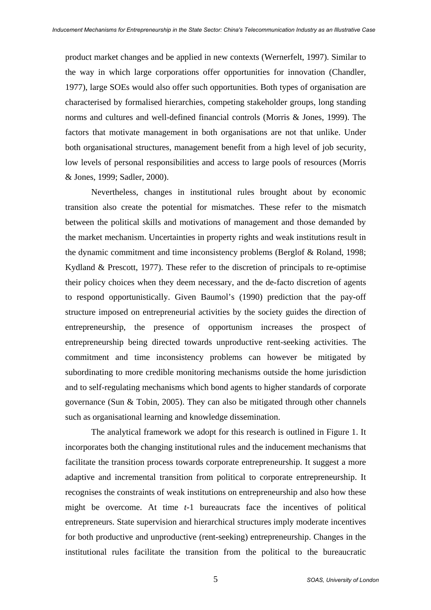product market changes and be applied in new contexts (Wernerfelt, 1997). Similar to the way in which large corporations offer opportunities for innovation (Chandler, 1977), large SOEs would also offer such opportunities. Both types of organisation are characterised by formalised hierarchies, competing stakeholder groups, long standing norms and cultures and well-defined financial controls (Morris & Jones, 1999). The factors that motivate management in both organisations are not that unlike. Under both organisational structures, management benefit from a high level of job security, low levels of personal responsibilities and access to large pools of resources (Morris & Jones, 1999; Sadler, 2000).

Nevertheless, changes in institutional rules brought about by economic transition also create the potential for mismatches. These refer to the mismatch between the political skills and motivations of management and those demanded by the market mechanism. Uncertainties in property rights and weak institutions result in the dynamic commitment and time inconsistency problems (Berglof & Roland, 1998; Kydland & Prescott, 1977). These refer to the discretion of principals to re-optimise their policy choices when they deem necessary, and the de-facto discretion of agents to respond opportunistically. Given Baumol's (1990) prediction that the pay-off structure imposed on entrepreneurial activities by the society guides the direction of entrepreneurship, the presence of opportunism increases the prospect of entrepreneurship being directed towards unproductive rent-seeking activities. The commitment and time inconsistency problems can however be mitigated by subordinating to more credible monitoring mechanisms outside the home jurisdiction and to self-regulating mechanisms which bond agents to higher standards of corporate governance (Sun & Tobin, 2005). They can also be mitigated through other channels such as organisational learning and knowledge dissemination.

The analytical framework we adopt for this research is outlined in Figure 1. It incorporates both the changing institutional rules and the inducement mechanisms that facilitate the transition process towards corporate entrepreneurship. It suggest a more adaptive and incremental transition from political to corporate entrepreneurship. It recognises the constraints of weak institutions on entrepreneurship and also how these might be overcome. At time *t*-1 bureaucrats face the incentives of political entrepreneurs. State supervision and hierarchical structures imply moderate incentives for both productive and unproductive (rent-seeking) entrepreneurship. Changes in the institutional rules facilitate the transition from the political to the bureaucratic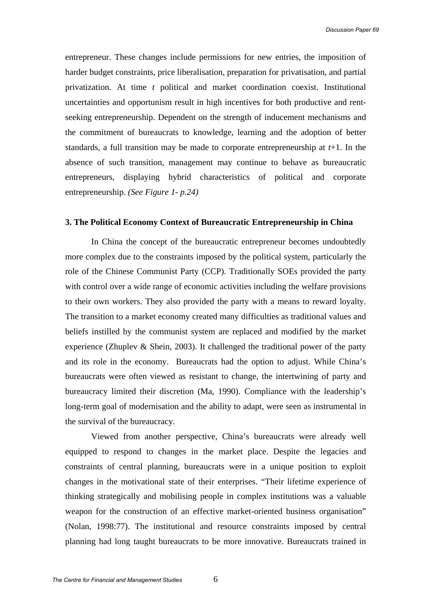entrepreneur. These changes include permissions for new entries, the imposition of harder budget constraints, price liberalisation, preparation for privatisation, and partial privatization. At time *t* political and market coordination coexist. Institutional uncertainties and opportunism result in high incentives for both productive and rentseeking entrepreneurship. Dependent on the strength of inducement mechanisms and the commitment of bureaucrats to knowledge, learning and the adoption of better standards, a full transition may be made to corporate entrepreneurship at *t*+1. In the absence of such transition, management may continue to behave as bureaucratic entrepreneurs, displaying hybrid characteristics of political and corporate entrepreneurship. *(See Figure 1- p.24)* 

#### **3. The Political Economy Context of Bureaucratic Entrepreneurship in China**

In China the concept of the bureaucratic entrepreneur becomes undoubtedly more complex due to the constraints imposed by the political system, particularly the role of the Chinese Communist Party (CCP). Traditionally SOEs provided the party with control over a wide range of economic activities including the welfare provisions to their own workers. They also provided the party with a means to reward loyalty. The transition to a market economy created many difficulties as traditional values and beliefs instilled by the communist system are replaced and modified by the market experience (Zhuplev & Shein, 2003). It challenged the traditional power of the party and its role in the economy. Bureaucrats had the option to adjust. While China's bureaucrats were often viewed as resistant to change, the intertwining of party and bureaucracy limited their discretion (Ma, 1990). Compliance with the leadership's long-term goal of modernisation and the ability to adapt, were seen as instrumental in the survival of the bureaucracy.

Viewed from another perspective, China's bureaucrats were already well equipped to respond to changes in the market place. Despite the legacies and constraints of central planning, bureaucrats were in a unique position to exploit changes in the motivational state of their enterprises. "Their lifetime experience of thinking strategically and mobilising people in complex institutions was a valuable weapon for the construction of an effective market-oriented business organisation" (Nolan, 1998:77). The institutional and resource constraints imposed by central planning had long taught bureaucrats to be more innovative. Bureaucrats trained in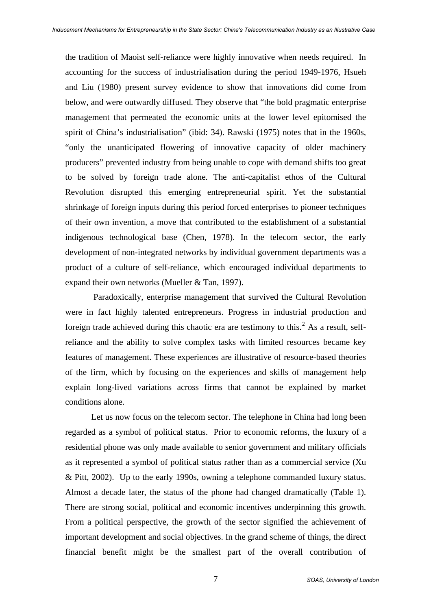the tradition of Maoist self-reliance were highly innovative when needs required. In accounting for the success of industrialisation during the period 1949-1976, Hsueh and Liu (1980) present survey evidence to show that innovations did come from below, and were outwardly diffused. They observe that "the bold pragmatic enterprise management that permeated the economic units at the lower level epitomised the spirit of China's industrialisation" (ibid: 34). Rawski (1975) notes that in the 1960s, "only the unanticipated flowering of innovative capacity of older machinery producers" prevented industry from being unable to cope with demand shifts too great to be solved by foreign trade alone. The anti-capitalist ethos of the Cultural Revolution disrupted this emerging entrepreneurial spirit. Yet the substantial shrinkage of foreign inputs during this period forced enterprises to pioneer techniques of their own invention, a move that contributed to the establishment of a substantial indigenous technological base (Chen, 1978). In the telecom sector, the early development of non-integrated networks by individual government departments was a product of a culture of self-reliance, which encouraged individual departments to expand their own networks (Mueller & Tan, 1997).

 Paradoxically, enterprise management that survived the Cultural Revolution were in fact highly talented entrepreneurs. Progress in industrial production and foreign trade achieved during this chaotic era are testimony to this.<sup>[2](#page-21-1)</sup> As a result, selfreliance and the ability to solve complex tasks with limited resources became key features of management. These experiences are illustrative of resource-based theories of the firm, which by focusing on the experiences and skills of management help explain long-lived variations across firms that cannot be explained by market conditions alone.

Let us now focus on the telecom sector. The telephone in China had long been regarded as a symbol of political status. Prior to economic reforms, the luxury of a residential phone was only made available to senior government and military officials as it represented a symbol of political status rather than as a commercial service (Xu & Pitt, 2002). Up to the early 1990s, owning a telephone commanded luxury status. Almost a decade later, the status of the phone had changed dramatically (Table 1). There are strong social, political and economic incentives underpinning this growth. From a political perspective, the growth of the sector signified the achievement of important development and social objectives. In the grand scheme of things, the direct financial benefit might be the smallest part of the overall contribution of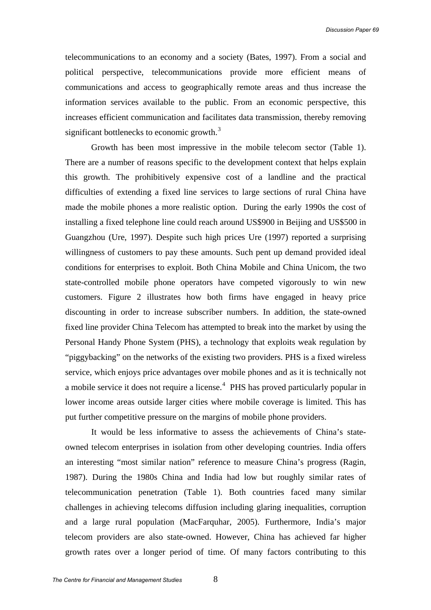telecommunications to an economy and a society (Bates, 1997). From a social and political perspective, telecommunications provide more efficient means of communications and access to geographically remote areas and thus increase the information services available to the public. From an economic perspective, this increases efficient communication and facilitates data transmission, thereby removing significant bottlenecks to economic growth. $3$ 

Growth has been most impressive in the mobile telecom sector (Table 1). There are a number of reasons specific to the development context that helps explain this growth. The prohibitively expensive cost of a landline and the practical difficulties of extending a fixed line services to large sections of rural China have made the mobile phones a more realistic option. During the early 1990s the cost of installing a fixed telephone line could reach around US\$900 in Beijing and US\$500 in Guangzhou (Ure, 1997). Despite such high prices Ure (1997) reported a surprising willingness of customers to pay these amounts. Such pent up demand provided ideal conditions for enterprises to exploit. Both China Mobile and China Unicom, the two state-controlled mobile phone operators have competed vigorously to win new customers. Figure 2 illustrates how both firms have engaged in heavy price discounting in order to increase subscriber numbers. In addition, the state-owned fixed line provider China Telecom has attempted to break into the market by using the Personal Handy Phone System (PHS), a technology that exploits weak regulation by "piggybacking" on the networks of the existing two providers. PHS is a fixed wireless service, which enjoys price advantages over mobile phones and as it is technically not a mobile service it does not require a license.<sup>[4](#page-21-1)</sup> PHS has proved particularly popular in lower income areas outside larger cities where mobile coverage is limited. This has put further competitive pressure on the margins of mobile phone providers.

It would be less informative to assess the achievements of China's stateowned telecom enterprises in isolation from other developing countries. India offers an interesting "most similar nation" reference to measure China's progress (Ragin, 1987). During the 1980s China and India had low but roughly similar rates of telecommunication penetration (Table 1). Both countries faced many similar challenges in achieving telecoms diffusion including glaring inequalities, corruption and a large rural population (MacFarquhar, 2005). Furthermore, India's major telecom providers are also state-owned. However, China has achieved far higher growth rates over a longer period of time. Of many factors contributing to this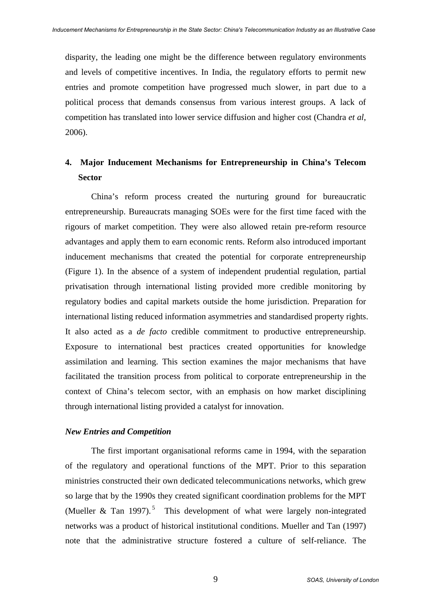disparity, the leading one might be the difference between regulatory environments and levels of competitive incentives. In India, the regulatory efforts to permit new entries and promote competition have progressed much slower, in part due to a political process that demands consensus from various interest groups. A lack of competition has translated into lower service diffusion and higher cost (Chandra *et al*, 2006).

# **4. Major Inducement Mechanisms for Entrepreneurship in China's Telecom Sector**

China's reform process created the nurturing ground for bureaucratic entrepreneurship. Bureaucrats managing SOEs were for the first time faced with the rigours of market competition. They were also allowed retain pre-reform resource advantages and apply them to earn economic rents. Reform also introduced important inducement mechanisms that created the potential for corporate entrepreneurship (Figure 1). In the absence of a system of independent prudential regulation, partial privatisation through international listing provided more credible monitoring by regulatory bodies and capital markets outside the home jurisdiction. Preparation for international listing reduced information asymmetries and standardised property rights. It also acted as a *de facto* credible commitment to productive entrepreneurship. Exposure to international best practices created opportunities for knowledge assimilation and learning. This section examines the major mechanisms that have facilitated the transition process from political to corporate entrepreneurship in the context of China's telecom sector, with an emphasis on how market disciplining through international listing provided a catalyst for innovation.

#### *New Entries and Competition*

The first important organisational reforms came in 1994, with the separation of the regulatory and operational functions of the MPT. Prior to this separation ministries constructed their own dedicated telecommunications networks, which grew so large that by the 1990s they created significant coordination problems for the MPT (Mueller & Tan 1997).<sup>[5](#page-21-1)</sup> This development of what were largely non-integrated networks was a product of historical institutional conditions. Mueller and Tan (1997) note that the administrative structure fostered a culture of self-reliance. The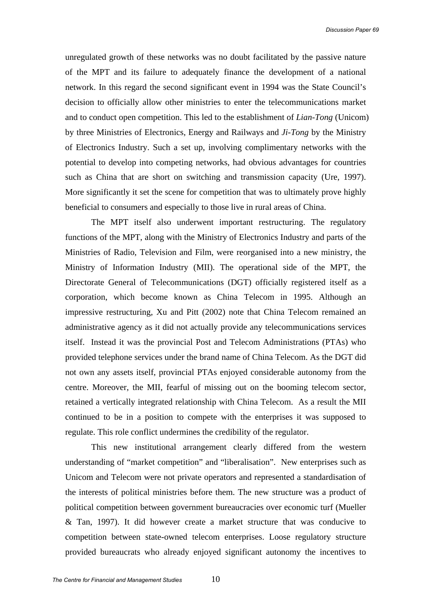unregulated growth of these networks was no doubt facilitated by the passive nature of the MPT and its failure to adequately finance the development of a national network. In this regard the second significant event in 1994 was the State Council's decision to officially allow other ministries to enter the telecommunications market and to conduct open competition. This led to the establishment of *Lian-Tong* (Unicom) by three Ministries of Electronics, Energy and Railways and *Ji-Tong* by the Ministry of Electronics Industry. Such a set up, involving complimentary networks with the potential to develop into competing networks, had obvious advantages for countries such as China that are short on switching and transmission capacity (Ure, 1997). More significantly it set the scene for competition that was to ultimately prove highly beneficial to consumers and especially to those live in rural areas of China.

The MPT itself also underwent important restructuring. The regulatory functions of the MPT, along with the Ministry of Electronics Industry and parts of the Ministries of Radio, Television and Film, were reorganised into a new ministry, the Ministry of Information Industry (MII). The operational side of the MPT, the Directorate General of Telecommunications (DGT) officially registered itself as a corporation, which become known as China Telecom in 1995. Although an impressive restructuring, Xu and Pitt (2002) note that China Telecom remained an administrative agency as it did not actually provide any telecommunications services itself. Instead it was the provincial Post and Telecom Administrations (PTAs) who provided telephone services under the brand name of China Telecom. As the DGT did not own any assets itself, provincial PTAs enjoyed considerable autonomy from the centre. Moreover, the MII, fearful of missing out on the booming telecom sector, retained a vertically integrated relationship with China Telecom. As a result the MII continued to be in a position to compete with the enterprises it was supposed to regulate. This role conflict undermines the credibility of the regulator.

This new institutional arrangement clearly differed from the western understanding of "market competition" and "liberalisation". New enterprises such as Unicom and Telecom were not private operators and represented a standardisation of the interests of political ministries before them. The new structure was a product of political competition between government bureaucracies over economic turf (Mueller & Tan, 1997). It did however create a market structure that was conducive to competition between state-owned telecom enterprises. Loose regulatory structure provided bureaucrats who already enjoyed significant autonomy the incentives to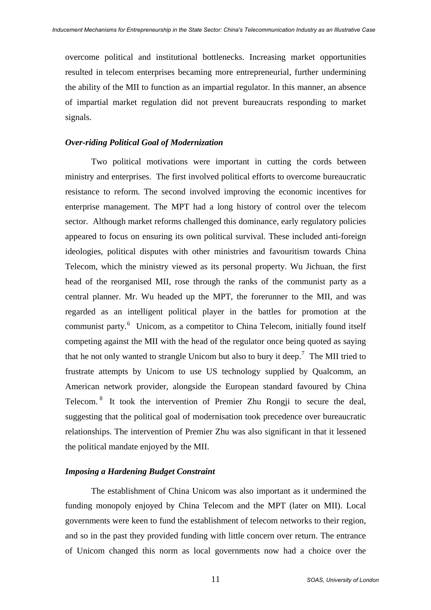overcome political and institutional bottlenecks. Increasing market opportunities resulted in telecom enterprises becaming more entrepreneurial, further undermining the ability of the MII to function as an impartial regulator. In this manner, an absence of impartial market regulation did not prevent bureaucrats responding to market signals.

#### *Over-riding Political Goal of Modernization*

Two political motivations were important in cutting the cords between ministry and enterprises. The first involved political efforts to overcome bureaucratic resistance to reform. The second involved improving the economic incentives for enterprise management. The MPT had a long history of control over the telecom sector. Although market reforms challenged this dominance, early regulatory policies appeared to focus on ensuring its own political survival. These included anti-foreign ideologies, political disputes with other ministries and favouritism towards China Telecom, which the ministry viewed as its personal property. Wu Jichuan, the first head of the reorganised MII, rose through the ranks of the communist party as a central planner. Mr. Wu headed up the MPT, the forerunner to the MII, and was regarded as an intelligent political player in the battles for promotion at the communist party.<sup>[6](#page-21-1)</sup> Unicom, as a competitor to China Telecom, initially found itself competing against the MII with the head of the regulator once being quoted as saying that he not only wanted to strangle Unicom but also to bury it deep.<sup>[7](#page-21-1)</sup> The MII tried to frustrate attempts by Unicom to use US technology supplied by Qualcomm, an American network provider, alongside the European standard favoured by China Telecom. [8](#page-21-1) It took the intervention of Premier Zhu Rongji to secure the deal, suggesting that the political goal of modernisation took precedence over bureaucratic relationships. The intervention of Premier Zhu was also significant in that it lessened the political mandate enjoyed by the MII.

#### *Imposing a Hardening Budget Constraint*

The establishment of China Unicom was also important as it undermined the funding monopoly enjoyed by China Telecom and the MPT (later on MII). Local governments were keen to fund the establishment of telecom networks to their region, and so in the past they provided funding with little concern over return. The entrance of Unicom changed this norm as local governments now had a choice over the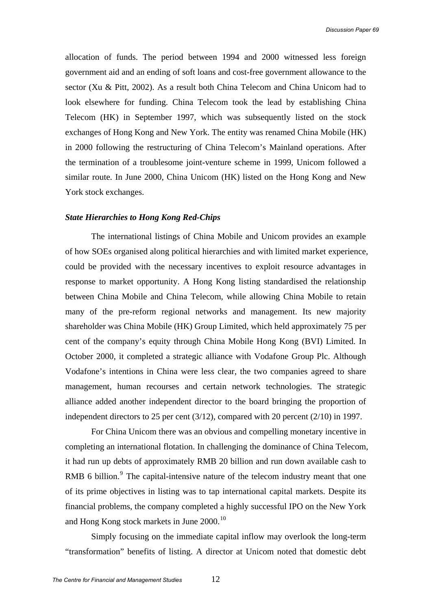allocation of funds. The period between 1994 and 2000 witnessed less foreign government aid and an ending of soft loans and cost-free government allowance to the sector (Xu & Pitt, 2002). As a result both China Telecom and China Unicom had to look elsewhere for funding. China Telecom took the lead by establishing China Telecom (HK) in September 1997, which was subsequently listed on the stock exchanges of Hong Kong and New York. The entity was renamed China Mobile (HK) in 2000 following the restructuring of China Telecom's Mainland operations. After the termination of a troublesome joint-venture scheme in 1999, Unicom followed a similar route. In June 2000, China Unicom (HK) listed on the Hong Kong and New York stock exchanges.

#### *State Hierarchies to Hong Kong Red-Chips*

The international listings of China Mobile and Unicom provides an example of how SOEs organised along political hierarchies and with limited market experience, could be provided with the necessary incentives to exploit resource advantages in response to market opportunity. A Hong Kong listing standardised the relationship between China Mobile and China Telecom, while allowing China Mobile to retain many of the pre-reform regional networks and management. Its new majority shareholder was China Mobile (HK) Group Limited, which held approximately 75 per cent of the company's equity through China Mobile Hong Kong (BVI) Limited. In October 2000, it completed a strategic alliance with Vodafone Group Plc. Although Vodafone's intentions in China were less clear, the two companies agreed to share management, human recourses and certain network technologies. The strategic alliance added another independent director to the board bringing the proportion of independent directors to 25 per cent (3/12), compared with 20 percent (2/10) in 1997.

For China Unicom there was an obvious and compelling monetary incentive in completing an international flotation. In challenging the dominance of China Telecom, it had run up debts of approximately RMB 20 billion and run down available cash to RMB 6 billion. $9$  The capital-intensive nature of the telecom industry meant that one of its prime objectives in listing was to tap international capital markets. Despite its financial problems, the company completed a highly successful IPO on the New York and Hong Kong stock markets in June 2000.<sup>[10](#page-21-1)</sup>

Simply focusing on the immediate capital inflow may overlook the long-term "transformation" benefits of listing. A director at Unicom noted that domestic debt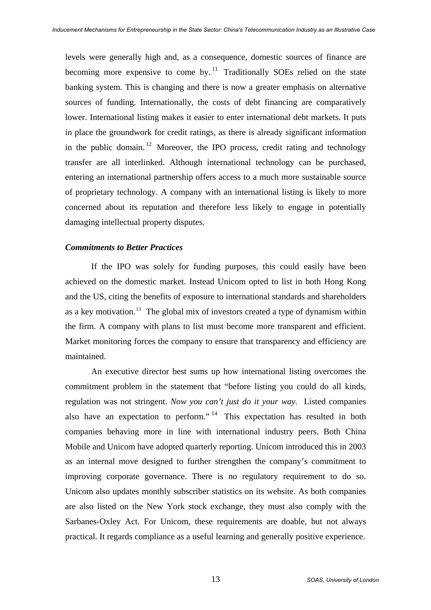levels were generally high and, as a consequence, domestic sources of finance are becoming more expensive to come by.<sup>[11](#page-21-1)</sup> Traditionally SOEs relied on the state banking system. This is changing and there is now a greater emphasis on alternative sources of funding. Internationally, the costs of debt financing are comparatively lower. International listing makes it easier to enter international debt markets. It puts in place the groundwork for credit ratings, as there is already significant information in the public domain.<sup>[12](#page-21-1)</sup> Moreover, the IPO process, credit rating and technology transfer are all interlinked. Although international technology can be purchased, entering an international partnership offers access to a much more sustainable source of proprietary technology. A company with an international listing is likely to more concerned about its reputation and therefore less likely to engage in potentially damaging intellectual property disputes.

#### *Commitments to Better Practices*

If the IPO was solely for funding purposes, this could easily have been achieved on the domestic market. Instead Unicom opted to list in both Hong Kong and the US, citing the benefits of exposure to international standards and shareholders as a key motivation.[13](#page-21-1) The global mix of investors created a type of dynamism within the firm. A company with plans to list must become more transparent and efficient. Market monitoring forces the company to ensure that transparency and efficiency are maintained.

An executive director best sums up how international listing overcomes the commitment problem in the statement that "before listing you could do all kinds, regulation was not stringent. *Now you can't just do it your way.* Listed companies also have an expectation to perform." <sup>[14](#page-21-1)</sup> This expectation has resulted in both companies behaving more in line with international industry peers. Both China Mobile and Unicom have adopted quarterly reporting. Unicom introduced this in 2003 as an internal move designed to further strengthen the company's commitment to improving corporate governance. There is no regulatory requirement to do so. Unicom also updates monthly subscriber statistics on its website. As both companies are also listed on the New York stock exchange, they must also comply with the Sarbanes-Oxley Act. For Unicom, these requirements are doable, but not always practical. It regards compliance as a useful learning and generally positive experience.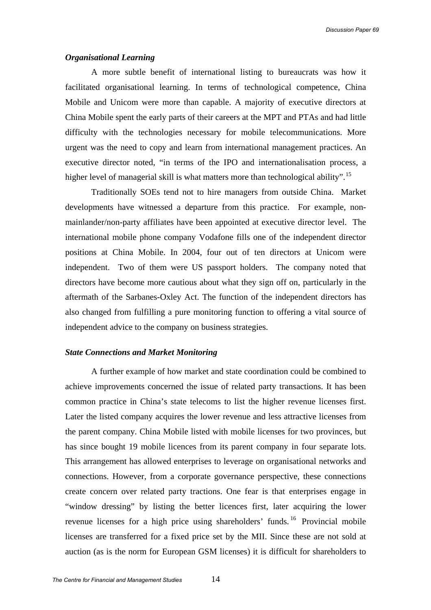#### *Organisational Learning*

A more subtle benefit of international listing to bureaucrats was how it facilitated organisational learning. In terms of technological competence, China Mobile and Unicom were more than capable. A majority of executive directors at China Mobile spent the early parts of their careers at the MPT and PTAs and had little difficulty with the technologies necessary for mobile telecommunications. More urgent was the need to copy and learn from international management practices. An executive director noted, "in terms of the IPO and internationalisation process, a higher level of managerial skill is what matters more than technological ability".<sup>[15](#page-21-1)</sup>

Traditionally SOEs tend not to hire managers from outside China. Market developments have witnessed a departure from this practice. For example, nonmainlander/non-party affiliates have been appointed at executive director level. The international mobile phone company Vodafone fills one of the independent director positions at China Mobile. In 2004, four out of ten directors at Unicom were independent. Two of them were US passport holders. The company noted that directors have become more cautious about what they sign off on, particularly in the aftermath of the Sarbanes-Oxley Act. The function of the independent directors has also changed from fulfilling a pure monitoring function to offering a vital source of independent advice to the company on business strategies.

#### *State Connections and Market Monitoring*

A further example of how market and state coordination could be combined to achieve improvements concerned the issue of related party transactions. It has been common practice in China's state telecoms to list the higher revenue licenses first. Later the listed company acquires the lower revenue and less attractive licenses from the parent company. China Mobile listed with mobile licenses for two provinces, but has since bought 19 mobile licences from its parent company in four separate lots. This arrangement has allowed enterprises to leverage on organisational networks and connections. However, from a corporate governance perspective, these connections create concern over related party tractions. One fear is that enterprises engage in "window dressing" by listing the better licences first, later acquiring the lower revenue licenses for a high price using shareholders' funds.<sup>[16](#page-21-1)</sup> Provincial mobile licenses are transferred for a fixed price set by the MII. Since these are not sold at auction (as is the norm for European GSM licenses) it is difficult for shareholders to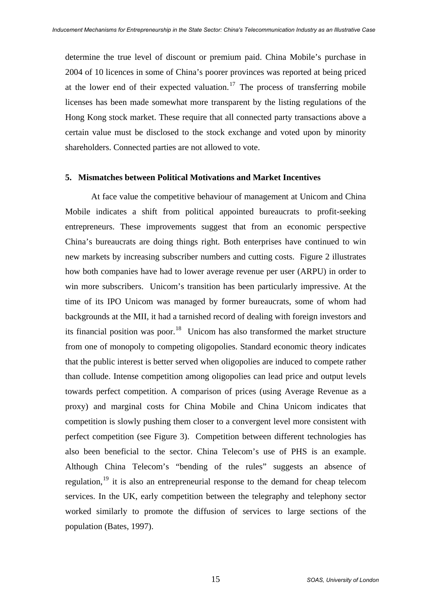determine the true level of discount or premium paid. China Mobile's purchase in 2004 of 10 licences in some of China's poorer provinces was reported at being priced at the lower end of their expected valuation.<sup>[17](#page-21-1)</sup> The process of transferring mobile licenses has been made somewhat more transparent by the listing regulations of the Hong Kong stock market. These require that all connected party transactions above a certain value must be disclosed to the stock exchange and voted upon by minority shareholders. Connected parties are not allowed to vote.

#### **5. Mismatches between Political Motivations and Market Incentives**

At face value the competitive behaviour of management at Unicom and China Mobile indicates a shift from political appointed bureaucrats to profit-seeking entrepreneurs. These improvements suggest that from an economic perspective China's bureaucrats are doing things right. Both enterprises have continued to win new markets by increasing subscriber numbers and cutting costs. Figure 2 illustrates how both companies have had to lower average revenue per user (ARPU) in order to win more subscribers. Unicom's transition has been particularly impressive. At the time of its IPO Unicom was managed by former bureaucrats, some of whom had backgrounds at the MII, it had a tarnished record of dealing with foreign investors and its financial position was poor.[18](#page-21-1) Unicom has also transformed the market structure from one of monopoly to competing oligopolies. Standard economic theory indicates that the public interest is better served when oligopolies are induced to compete rather than collude. Intense competition among oligopolies can lead price and output levels towards perfect competition. A comparison of prices (using Average Revenue as a proxy) and marginal costs for China Mobile and China Unicom indicates that competition is slowly pushing them closer to a convergent level more consistent with perfect competition (see Figure 3). Competition between different technologies has also been beneficial to the sector. China Telecom's use of PHS is an example. Although China Telecom's "bending of the rules" suggests an absence of regulation,<sup>[19](#page-21-1)</sup> it is also an entrepreneurial response to the demand for cheap telecom services. In the UK, early competition between the telegraphy and telephony sector worked similarly to promote the diffusion of services to large sections of the population (Bates, 1997).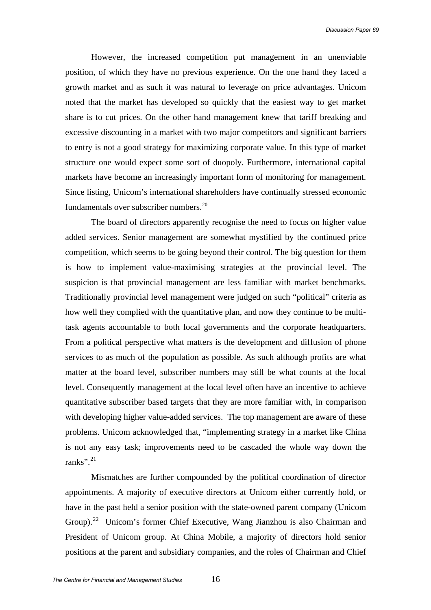However, the increased competition put management in an unenviable position, of which they have no previous experience. On the one hand they faced a growth market and as such it was natural to leverage on price advantages. Unicom noted that the market has developed so quickly that the easiest way to get market share is to cut prices. On the other hand management knew that tariff breaking and excessive discounting in a market with two major competitors and significant barriers to entry is not a good strategy for maximizing corporate value. In this type of market structure one would expect some sort of duopoly. Furthermore, international capital markets have become an increasingly important form of monitoring for management. Since listing, Unicom's international shareholders have continually stressed economic fundamentals over subscriber numbers.<sup>[20](#page-21-1)</sup>

The board of directors apparently recognise the need to focus on higher value added services. Senior management are somewhat mystified by the continued price competition, which seems to be going beyond their control. The big question for them is how to implement value-maximising strategies at the provincial level. The suspicion is that provincial management are less familiar with market benchmarks. Traditionally provincial level management were judged on such "political" criteria as how well they complied with the quantitative plan, and now they continue to be multitask agents accountable to both local governments and the corporate headquarters. From a political perspective what matters is the development and diffusion of phone services to as much of the population as possible. As such although profits are what matter at the board level, subscriber numbers may still be what counts at the local level. Consequently management at the local level often have an incentive to achieve quantitative subscriber based targets that they are more familiar with, in comparison with developing higher value-added services. The top management are aware of these problems. Unicom acknowledged that, "implementing strategy in a market like China is not any easy task; improvements need to be cascaded the whole way down the ranks". $^{21}$  $^{21}$  $^{21}$ 

Mismatches are further compounded by the political coordination of director appointments. A majority of executive directors at Unicom either currently hold, or have in the past held a senior position with the state-owned parent company (Unicom Group).<sup>[22](#page-21-1)</sup> Unicom's former Chief Executive, Wang Jianzhou is also Chairman and President of Unicom group. At China Mobile, a majority of directors hold senior positions at the parent and subsidiary companies, and the roles of Chairman and Chief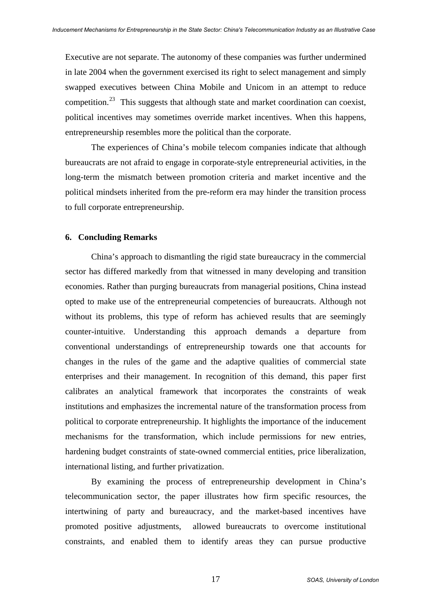Executive are not separate. The autonomy of these companies was further undermined in late 2004 when the government exercised its right to select management and simply swapped executives between China Mobile and Unicom in an attempt to reduce competition.<sup>[23](#page-21-1)</sup> This suggests that although state and market coordination can coexist, political incentives may sometimes override market incentives. When this happens, entrepreneurship resembles more the political than the corporate.

The experiences of China's mobile telecom companies indicate that although bureaucrats are not afraid to engage in corporate-style entrepreneurial activities, in the long-term the mismatch between promotion criteria and market incentive and the political mindsets inherited from the pre-reform era may hinder the transition process to full corporate entrepreneurship.

#### **6. Concluding Remarks**

China's approach to dismantling the rigid state bureaucracy in the commercial sector has differed markedly from that witnessed in many developing and transition economies. Rather than purging bureaucrats from managerial positions, China instead opted to make use of the entrepreneurial competencies of bureaucrats. Although not without its problems, this type of reform has achieved results that are seemingly counter-intuitive. Understanding this approach demands a departure from conventional understandings of entrepreneurship towards one that accounts for changes in the rules of the game and the adaptive qualities of commercial state enterprises and their management. In recognition of this demand, this paper first calibrates an analytical framework that incorporates the constraints of weak institutions and emphasizes the incremental nature of the transformation process from political to corporate entrepreneurship. It highlights the importance of the inducement mechanisms for the transformation, which include permissions for new entries, hardening budget constraints of state-owned commercial entities, price liberalization, international listing, and further privatization.

By examining the process of entrepreneurship development in China's telecommunication sector, the paper illustrates how firm specific resources, the intertwining of party and bureaucracy, and the market-based incentives have promoted positive adjustments, allowed bureaucrats to overcome institutional constraints, and enabled them to identify areas they can pursue productive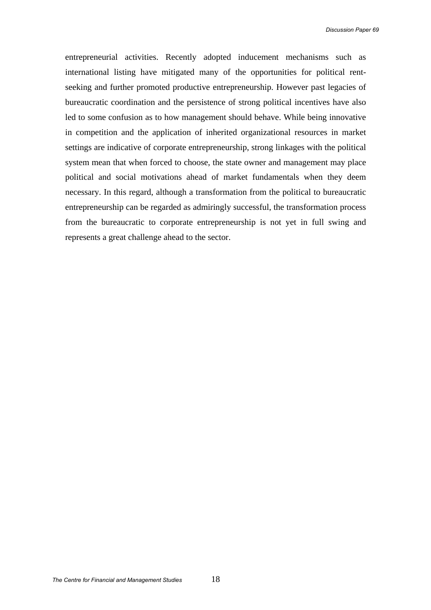entrepreneurial activities. Recently adopted inducement mechanisms such as international listing have mitigated many of the opportunities for political rentseeking and further promoted productive entrepreneurship. However past legacies of bureaucratic coordination and the persistence of strong political incentives have also led to some confusion as to how management should behave. While being innovative in competition and the application of inherited organizational resources in market settings are indicative of corporate entrepreneurship, strong linkages with the political system mean that when forced to choose, the state owner and management may place political and social motivations ahead of market fundamentals when they deem necessary. In this regard, although a transformation from the political to bureaucratic entrepreneurship can be regarded as admiringly successful, the transformation process from the bureaucratic to corporate entrepreneurship is not yet in full swing and represents a great challenge ahead to the sector.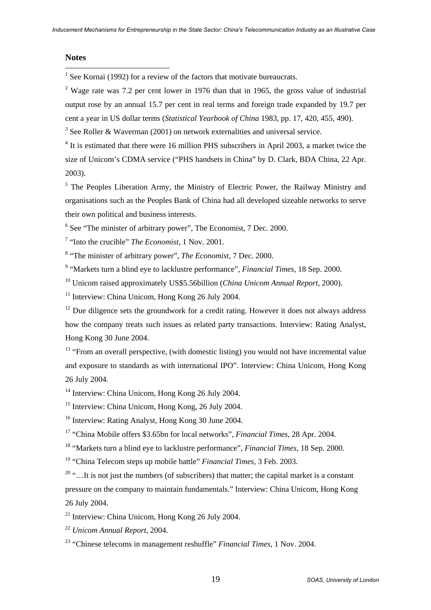#### **Notes**

 $\overline{a}$ 

<sup>1</sup> See Kornai (1992) for a review of the factors that motivate bureaucrats.

<sup>2</sup> Wage rate was 7.2 per cent lower in 1976 than that in 1965, the gross value of industrial output rose by an annual 15.7 per cent in real terms and foreign trade expanded by 19.7 per cent a year in US dollar terms (*Statistical Yearbook of China* 1983, pp. 17, 420, 455, 490).

 $3$  See Roller & Waverman (2001) on network externalities and universal service.

<sup>4</sup> It is estimated that there were 16 million PHS subscribers in April 2003, a market twice the size of Unicom's CDMA service ("PHS handsets in China" by D. Clark, BDA China, 22 Apr. 2003).

<sup>5</sup> The Peoples Liberation Army, the Ministry of Electric Power, the Railway Ministry and organisations such as the Peoples Bank of China had all developed sizeable networks to serve their own political and business interests.

<sup>6</sup> See "The minister of arbitrary power", The Economist, 7 Dec. 2000.

7 "Into the crucible" *The Economist*, 1 Nov. 2001.

8 "The minister of arbitrary power", *The Economist*, 7 Dec. 2000.

9 "Markets turn a blind eye to lacklustre performance", *Financial Times*, 18 Sep. 2000.

10 Unicom raised approximately US\$5.56billion (*China Unicom Annual Report*, 2000).

<sup>11</sup> Interview: China Unicom, Hong Kong 26 July 2004.

 $12$  Due diligence sets the groundwork for a credit rating. However it does not always address how the company treats such issues as related party transactions. Interview: Rating Analyst, Hong Kong 30 June 2004.

 $13$  "From an overall perspective, (with domestic listing) you would not have incremental value and exposure to standards as with international IPO". Interview: China Unicom, Hong Kong 26 July 2004.

<sup>14</sup> Interview: China Unicom, Hong Kong 26 July 2004.

<sup>15</sup> Interview: China Unicom, Hong Kong, 26 July 2004.

<sup>16</sup> Interview: Rating Analyst, Hong Kong 30 June 2004.

17 "China Mobile offers \$3.65bn for local networks", *Financial Times*, 28 Apr. 2004.

18 "Markets turn a blind eye to lacklustre performance", *Financial Times*, 18 Sep. 2000.

19 "China Telecom steps up mobile battle" *Financial Times*, 3 Feb. 2003.

 $20$  "... It is not just the numbers (of subscribers) that matter; the capital market is a constant pressure on the company to maintain fundamentals." Interview: China Unicom, Hong Kong 26 July 2004.

<sup>21</sup> Interview: China Unicom, Hong Kong 26 July 2004.

<sup>22</sup> *Unicom Annual Report*, 2004.

23 "Chinese telecoms in management reshuffle" *Financial Times*, 1 Nov. 2004.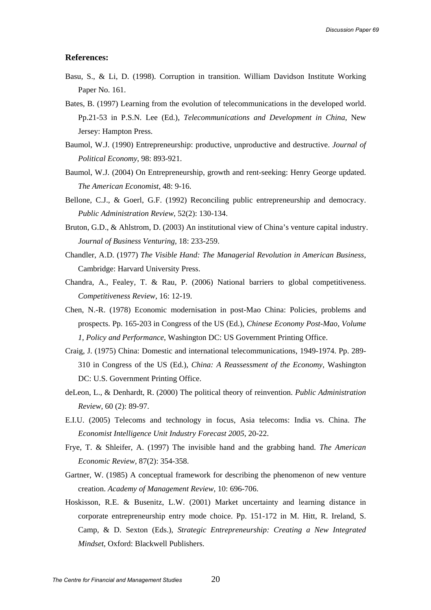#### **References:**

- Basu, S., & Li, D. (1998). Corruption in transition. William Davidson Institute Working Paper No. 161.
- Bates, B. (1997) Learning from the evolution of telecommunications in the developed world. Pp.21-53 in P.S.N. Lee (Ed.), *Telecommunications and Development in China*, New Jersey: Hampton Press.
- Baumol, W.J. (1990) Entrepreneurship: productive, unproductive and destructive. *Journal of Political Economy*, 98: 893-921.
- Baumol, W.J. (2004) On Entrepreneurship, growth and rent-seeking: Henry George updated. *The American Economist*, 48: 9-16.
- Bellone, C.J., & Goerl, G.F. (1992) Reconciling public entrepreneurship and democracy. *Public Administration Review*, 52(2): 130-134.
- Bruton, G.D., & Ahlstrom, D. (2003) An institutional view of China's venture capital industry. *Journal of Business Venturing*, 18: 233-259.
- Chandler, A.D. (1977) *The Visible Hand: The Managerial Revolution in American Business*, Cambridge: Harvard University Press.
- Chandra, A., Fealey, T. & Rau, P. (2006) National barriers to global competitiveness. *Competitiveness Review*, 16: 12-19.
- Chen, N.-R. (1978) Economic modernisation in post-Mao China: Policies, problems and prospects. Pp. 165-203 in Congress of the US (Ed.), *Chinese Economy Post-Mao, Volume 1, Policy and Performance*, Washington DC: US Government Printing Office.
- Craig, J. (1975) China: Domestic and international telecommunications, 1949-1974. Pp. 289- 310 in Congress of the US (Ed.), *China: A Reassessment of the Economy*, Washington DC: U.S. Government Printing Office.
- deLeon, L., & Denhardt, R. (2000) The political theory of reinvention. *Public Administration Review*, 60 (2): 89-97.
- E.I.U. (2005) Telecoms and technology in focus, Asia telecoms: India vs. China. *The Economist Intelligence Unit Industry Forecast 2005*, 20-22.
- Frye, T. & Shleifer, A. (1997) The invisible hand and the grabbing hand. *The American Economic Review,* 87(2): 354-358.
- Gartner, W. (1985) A conceptual framework for describing the phenomenon of new venture creation. *Academy of Management Review*, 10: 696-706.
- Hoskisson, R.E. & Busenitz, L.W. (2001) Market uncertainty and learning distance in corporate entrepreneurship entry mode choice. Pp. 151-172 in M. Hitt, R. Ireland, S. Camp, & D. Sexton (Eds.), *Strategic Entrepreneurship: Creating a New Integrated Mindset*, Oxford: Blackwell Publishers.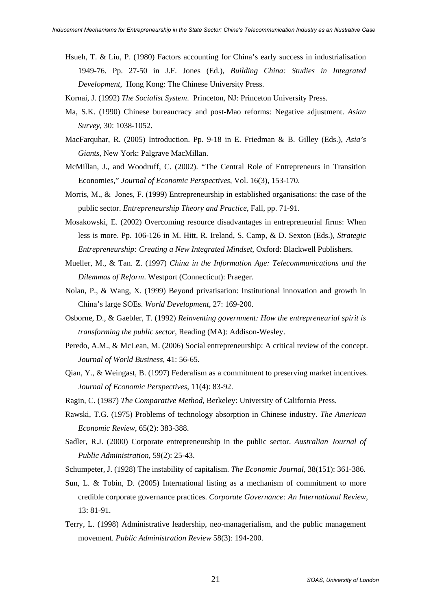<span id="page-21-1"></span><span id="page-21-0"></span>Hsueh, T. & Liu, P. (1980) Factors accounting for China's early success in industrialisation 1949-76. Pp. 27-50 in J.F. Jones (Ed.), *Building China: Studies in Integrated Development*, Hong Kong: The Chinese University Press.

Kornai, J. (1992) *The Socialist System*. Princeton, NJ: Princeton University Press.

- Ma, S.K. (1990) Chinese bureaucracy and post-Mao reforms: Negative adjustment. *Asian Survey*, 30: 1038-1052.
- MacFarquhar, R. (2005) Introduction. Pp. 9-18 in E. Friedman & B. Gilley (Eds.), *Asia's Giants*, New York: Palgrave MacMillan.
- McMillan, J., and Woodruff, C. (2002). "The Central Role of Entrepreneurs in Transition Economies," *Journal of Economic Perspectives*, Vol. 16(3), 153-170.
- Morris, M., & Jones, F. (1999) Entrepreneurship in established organisations: the case of the public sector. *Entrepreneurship Theory and Practice*, Fall, pp. 71-91.
- Mosakowski, E. (2002) Overcoming resource disadvantages in entrepreneurial firms: When less is more. Pp. 106-126 in M. Hitt, R. Ireland, S. Camp, & D. Sexton (Eds.), *Strategic Entrepreneurship: Creating a New Integrated Mindset*, Oxford: Blackwell Publishers.
- Mueller, M., & Tan. Z. (1997) *China in the Information Age: Telecommunications and the Dilemmas of Reform*. Westport (Connecticut): Praeger.
- Nolan, P., & Wang, X. (1999) Beyond privatisation: Institutional innovation and growth in China's large SOEs. *World Development*, 27: 169-200.
- Osborne, D., & Gaebler, T. (1992) *Reinventing government: How the entrepreneurial spirit is transforming the public sector*, Reading (MA): Addison-Wesley.
- Peredo, A.M., & McLean, M. (2006) Social entrepreneurship: A critical review of the concept. *Journal of World Business*, 41: 56-65.
- Qian, Y., & Weingast, B. (1997) Federalism as a commitment to preserving market incentives. *Journal of Economic Perspectives*, 11(4): 83-92.
- Ragin, C. (1987) *The Comparative Method*, Berkeley: University of California Press.
- Rawski, T.G. (1975) Problems of technology absorption in Chinese industry. *The American Economic Review*, 65(2): 383-388.
- Sadler, R.J. (2000) Corporate entrepreneurship in the public sector. *Australian Journal of Public Administration,* 59(2): 25-43.

Schumpeter, J. (1928) The instability of capitalism. *The Economic Journal*, 38(151): 361-386.

- Sun, L. & Tobin, D. (2005) International listing as a mechanism of commitment to more credible corporate governance practices. *Corporate Governance: An International Review*, 13: 81-91.
- Terry, L. (1998) Administrative leadership, neo-managerialism, and the public management movement. *Public Administration Review* 58(3): 194-200.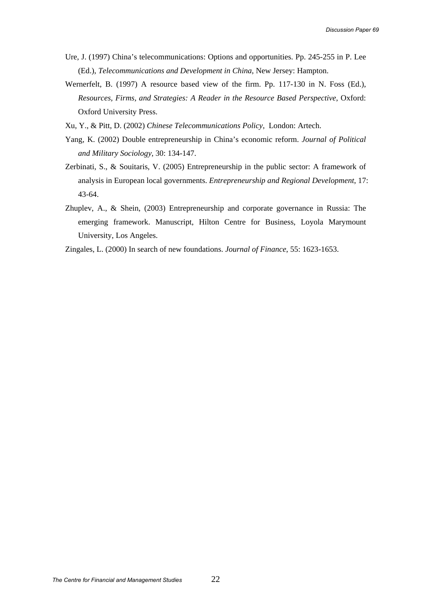- Ure, J. (1997) China's telecommunications: Options and opportunities. Pp. 245-255 in P. Lee (Ed.), *Telecommunications and Development in China*, New Jersey: Hampton.
- Wernerfelt, B. (1997) A resource based view of the firm. Pp. 117-130 in N. Foss (Ed.), *Resources, Firms, and Strategies: A Reader in the Resource Based Perspective*, Oxford: Oxford University Press.
- Xu, Y., & Pitt, D. (2002) *Chinese Telecommunications Policy*, London: Artech.
- Yang, K. (2002) Double entrepreneurship in China's economic reform. *Journal of Political and Military Sociology*, 30: 134-147.
- Zerbinati, S., & Souitaris, V. (2005) Entrepreneurship in the public sector: A framework of analysis in European local governments. *Entrepreneurship and Regional Development*, 17: 43-64.
- Zhuplev, A., & Shein, (2003) Entrepreneurship and corporate governance in Russia: The emerging framework. Manuscript, Hilton Centre for Business, Loyola Marymount University, Los Angeles.
- Zingales, L. (2000) In search of new foundations. *Journal of Finance*, 55: 1623-1653.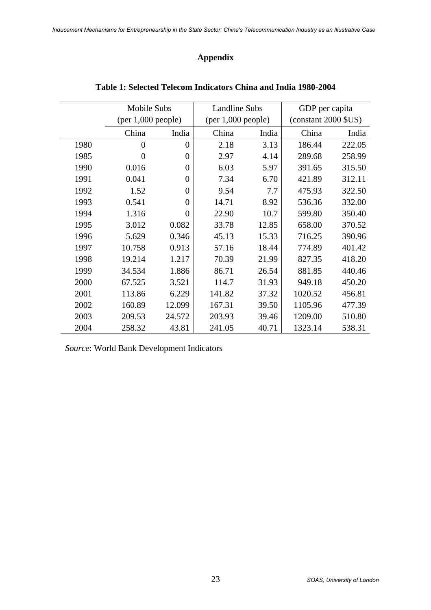# **Appendix**

|      | Mobile Subs        |                | <b>Landline Subs</b> |       | GDP per capita          |        |
|------|--------------------|----------------|----------------------|-------|-------------------------|--------|
|      | (per 1,000 people) |                | (per 1,000 people)   |       | $(constant 2000$ $SUS)$ |        |
|      | China              | India          | China                | India | China                   | India  |
| 1980 | $\overline{0}$     | $\overline{0}$ | 2.18                 | 3.13  | 186.44                  | 222.05 |
| 1985 | 0                  | $\overline{0}$ | 2.97                 | 4.14  | 289.68                  | 258.99 |
| 1990 | 0.016              | $\overline{0}$ | 6.03                 | 5.97  | 391.65                  | 315.50 |
| 1991 | 0.041              | $\theta$       | 7.34                 | 6.70  | 421.89                  | 312.11 |
| 1992 | 1.52               | $\theta$       | 9.54                 | 7.7   | 475.93                  | 322.50 |
| 1993 | 0.541              | $\overline{0}$ | 14.71                | 8.92  | 536.36                  | 332.00 |
| 1994 | 1.316              | $\overline{0}$ | 22.90                | 10.7  | 599.80                  | 350.40 |
| 1995 | 3.012              | 0.082          | 33.78                | 12.85 | 658.00                  | 370.52 |
| 1996 | 5.629              | 0.346          | 45.13                | 15.33 | 716.25                  | 390.96 |
| 1997 | 10.758             | 0.913          | 57.16                | 18.44 | 774.89                  | 401.42 |
| 1998 | 19.214             | 1.217          | 70.39                | 21.99 | 827.35                  | 418.20 |
| 1999 | 34.534             | 1.886          | 86.71                | 26.54 | 881.85                  | 440.46 |
| 2000 | 67.525             | 3.521          | 114.7                | 31.93 | 949.18                  | 450.20 |
| 2001 | 113.86             | 6.229          | 141.82               | 37.32 | 1020.52                 | 456.81 |
| 2002 | 160.89             | 12.099         | 167.31               | 39.50 | 1105.96                 | 477.39 |
| 2003 | 209.53             | 24.572         | 203.93               | 39.46 | 1209.00                 | 510.80 |
| 2004 | 258.32             | 43.81          | 241.05               | 40.71 | 1323.14                 | 538.31 |

## **Table 1: Selected Telecom Indicators China and India 1980-2004**

*Source*: World Bank Development Indicators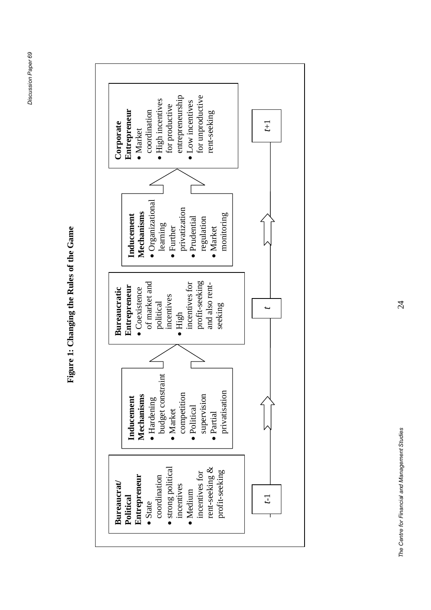Figure 1: Changing the Rules of the Game **Figure 1: Changing the Rules of the Game**